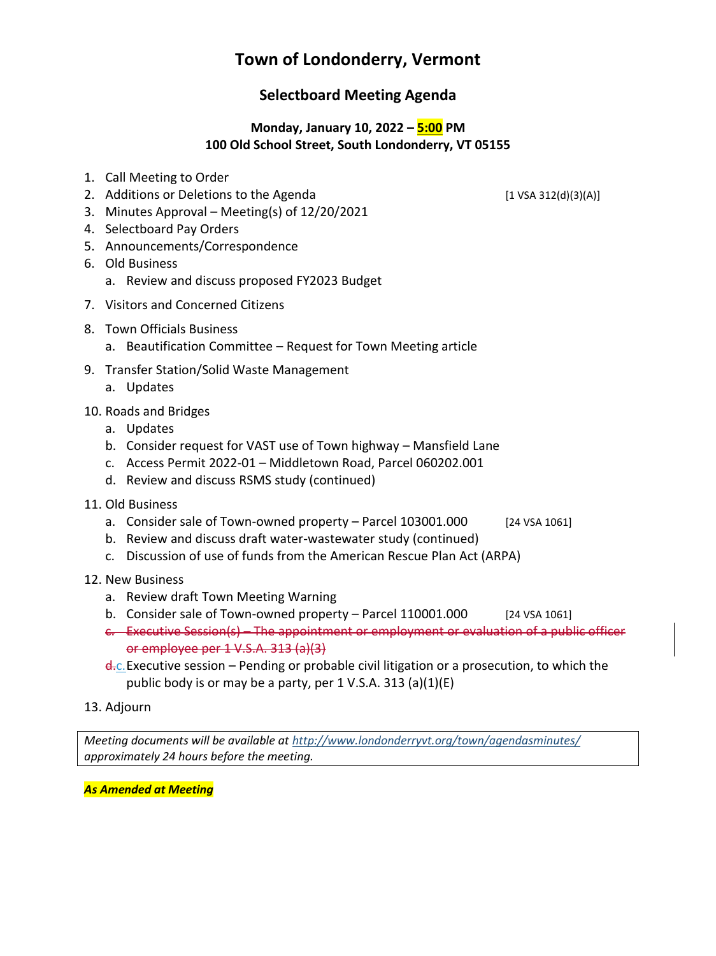# **Town of Londonderry, Vermont**

# **Selectboard Meeting Agenda**

#### **Monday, January 10, 2022 – 5:00 PM 100 Old School Street, South Londonderry, VT 05155**

- 1. Call Meeting to Order
- 2. Additions or Deletions to the Agenda [1 VSA 312(d)(3)(A)]
- 3. Minutes Approval Meeting(s) of 12/20/2021
- 4. Selectboard Pay Orders
- 5. Announcements/Correspondence
- 6. Old Business
	- a. Review and discuss proposed FY2023 Budget
- 7. Visitors and Concerned Citizens
- 8. Town Officials Business
	- a. Beautification Committee Request for Town Meeting article
- 9. Transfer Station/Solid Waste Management
	- a. Updates
- 10. Roads and Bridges
	- a. Updates
	- b. Consider request for VAST use of Town highway Mansfield Lane
	- c. Access Permit 2022-01 Middletown Road, Parcel 060202.001
	- d. Review and discuss RSMS study (continued)
- 11. Old Business
	- a. Consider sale of Town-owned property Parcel 103001.000 [24 VSA 1061]
	- b. Review and discuss draft water-wastewater study (continued)
	- c. Discussion of use of funds from the American Rescue Plan Act (ARPA)
- 12. New Business
	- a. Review draft Town Meeting Warning
	- b. Consider sale of Town-owned property Parcel 110001.000 [24 VSA 1061]
	- c. Executive Session(s) The appointment or employment or evaluation of a public officer or employee per 1 V.S.A. 313 (a)(3)
	- d<sub>rc</sub>. Executive session Pending or probable civil litigation or a prosecution, to which the public body is or may be a party, per 1 V.S.A. 313 (a)(1)(E)
- 13. Adjourn

*Meeting documents will be available at <http://www.londonderryvt.org/town/agendasminutes/> approximately 24 hours before the meeting.*

*As Amended at Meeting*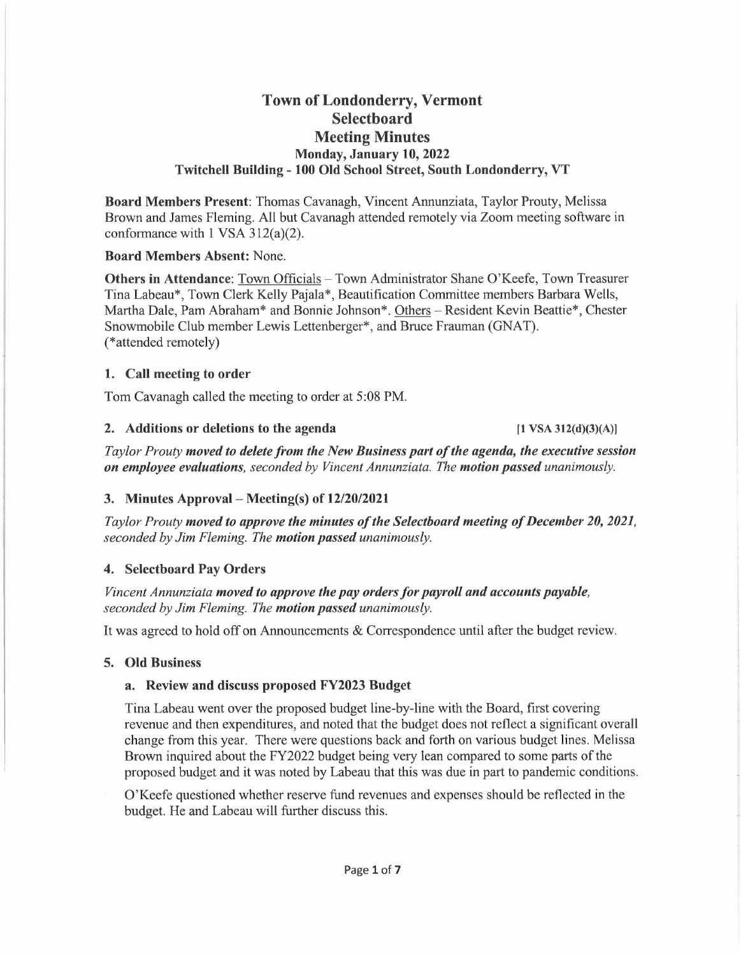### **Town of Londonderry, Vermont Selectboard Meeting Minutes Monday, January 10, 2022 Twitchell Building - 100 Old School Street, South Londonderry, VT**

**Board Members Present:** Thomas Cavanagh, Vincent Annunziata, Taylor Prouty, Melissa Brown and James Fleming. All but Cavanagh attended remotely via Zoom meeting software in conformance with 1 VSA 312(a)(2).

#### **Board Members Absent:** None.

**Others in Attendance:** Town Officials - Town Administrator Shane O'Keefe, Town Treasurer Tina Labeau\*, Town Clerk Kelly Pajala\*, Beautification Committee members Barbara Wells, Martha Dale, Pam Abraham\* and Bonnie Johnson\*. Others -Resident Kevin Beattie\*, Chester Snowmobile Club member Lewis Lettenberger\*, and Bruce Frauman (GNAT). (\*attended remotely)

#### **1. Call meeting to order**

Tom Cavanagh called the meeting to order at 5:08 PM.

#### **2. Additions or deletions to the agenda [1 VSA 312(d)(3)(A)]**

*Taylor Prouty moved to delete from the New Business part of the agenda, the executive session on employee evaluations, seconded by Vincent Annunziata. The motion passed unanimously.* 

#### **3. Minutes Approval - Meeting(s) of 12/20/2021**

*Taylor Prouty moved to approve the minutes of the Selectboard meeting of December 20, 2021, seconded by Jim Fleming. The motion passed unanimously.* 

#### **4. Selectboard Pay Orders**

*Vincent Annunziata moved to approve the pay orders for payroll and accounts payable, seconded by Jim Fleming. The motion passed unanimously.* 

It was agreed to hold off on Announcements & Correspondence until after the budget review.

### **5. Old Business**

### **a. Review and discuss proposed FY2023 Budget**

Tina Labeau went over the proposed budget line-by-line with the Board, first covering revenue and then expenditures, and noted that the budget does not reflect a significant overall change from this year. There were questions back and forth on various budget lines. Melissa Brown inquired about the FY2022 budget being very lean compared to some parts of the proposed budget and it was noted by Labeau that this was due in part to pandemic conditions.

O'Keefe questioned whether reserve fund revenues and expenses should be reflected in the budget. He and Labeau will further discuss this.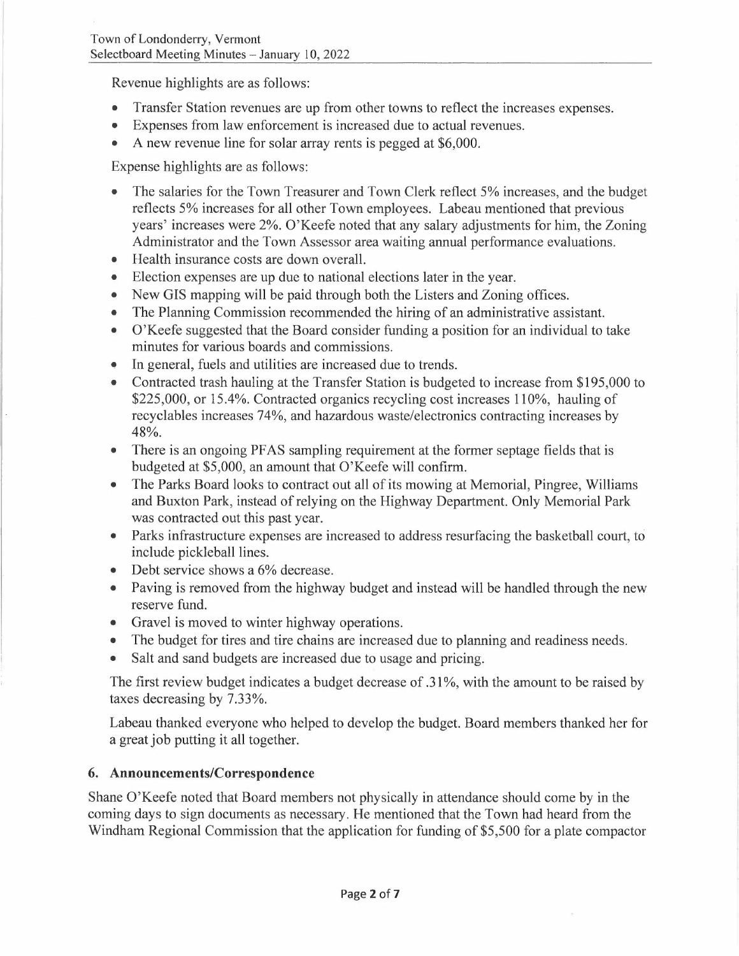Revenue highlights are as follows:

- Transfer Station revenues are up from other towns to reflect the increases expenses.
- Expenses from law enforcement is increased due to actual revenues.
- A new revenue line for solar array rents is pegged at \$6,000.

Expense highlights are as follows:

- The salaries for the Town Treasurer and Town Clerk reflect 5% increases, and the budget reflects 5% increases for all other Town employees. Labeau mentioned that previous years' increases were 2%. O'Keefe noted that any salary adjustments for him, the Zoning Administrator and the Town Assessor area waiting annual performance evaluations.
- Health insurance costs are down overall.
- Election expenses are up due to national elections later in the year.
- New GIS mapping will be paid through both the Listers and Zoning offices.
- The Planning Commission recommended the hiring of an administrative assistant.
- O'Keefe suggested that the Board consider funding a position for an individual to take minutes for various boards and commissions.
- ~ In general, fuels and utilities are increased due to trends.
- Contracted trash hauling at the Transfer Station is budgeted to increase from \$195,000 to \$225,000, or 15.4%. Contracted organics recycling cost increases 110%, hauling of recyclables increases 74%, and hazardous waste/electronics contracting increases by 48%.
- There is an ongoing PFAS sampling requirement at the former septage fields that is budgeted at \$5,000, an amount that O'Keefe will confirm.
- The Parks Board looks to contract out all of its mowing at Memorial, Pingree, Williams and Buxton Park, instead of relying on the Highway Department. Only Memorial Park was contracted out this past year.
- Parks infrastructure expenses are increased to address resurfacing the basketball court, to include pickleball lines.
- Debt service shows a 6% decrease.
- Paving is removed from the highway budget and instead will be handled through the new reserve fund.
- Gravel is moved to winter highway operations.
- The budget for tires and tire chains are increased due to planning and readiness needs.
- Salt and sand budgets are increased due to usage and pricing.

The first review budget indicates a budget decrease of  $.31\%$ , with the amount to be raised by taxes decreasing by 7.33%.

Labeau thanked everyone who helped to develop the budget. Board members thanked her for a great job putting it all together.

# **6. Announcements/Correspondence**

Shane O'Keefe noted that Board members not physically in attendance should come by in the coming days to sign documents as necessary. He mentioned that the Town had heard from the Windham Regional Commission that the application for funding of \$5,500 for a plate compactor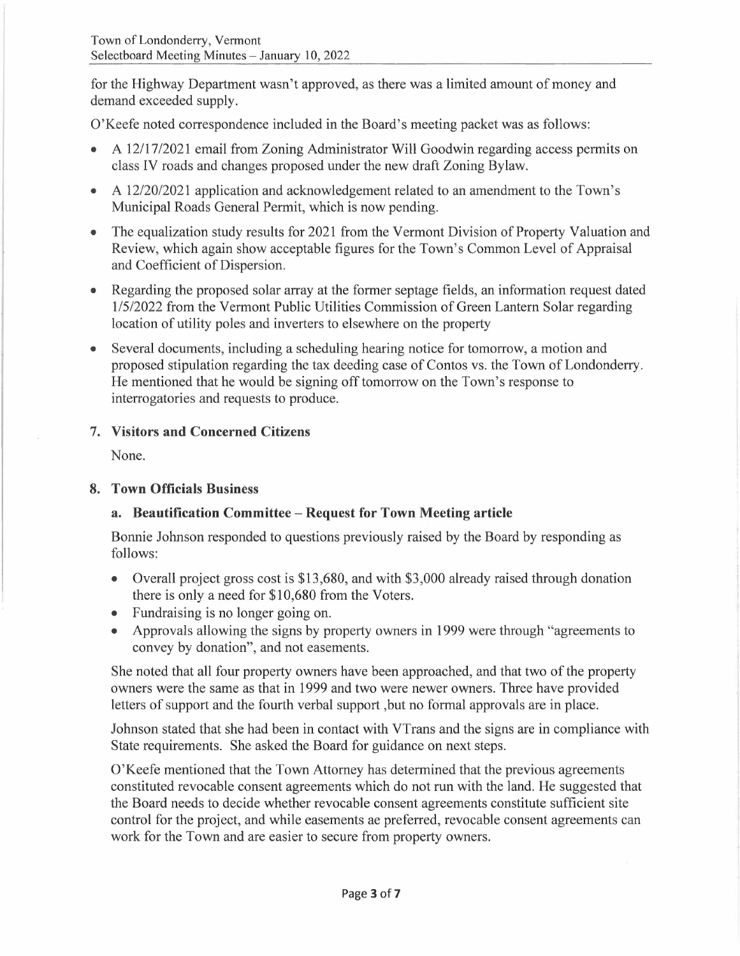for the Highway Department wasn't approved, as there was a limited amount of money and demand exceeded supply.

O'Keefe noted correspondence included in the Board's meeting packet was as follows:

- A 12/17/2021 email from Zoning Administrator Will Goodwin regarding access permits on class IV roads and changes proposed under the new draft Zoning Bylaw.
- A 12/20/2021 application and acknowledgement related to an amendment to the Town's Municipal Roads General Permit, which is now pending.
- The equalization study results for 2021 from the Vermont Division of Property Valuation and Review, which again show acceptable figures for the Town's Common Level of Appraisal and Coefficient of Dispersion.
- Regarding the proposed solar array at the former septage fields, an information request dated 1/5/2022 from the Vermont Public Utilities Commission of Green Lantern Solar regarding location of utility poles and inverters to elsewhere on the property
- Several documents, including a scheduling hearing notice for tomorrow, a motion and proposed stipulation regarding the tax deeding case of Contos vs. the Town of Londonderry. He mentioned that he would be signing off tomorrow on the Town's response to interrogatories and requests to produce.

# **7. Visitors and Concerned Citizens**

None.

### **8. Town Officials Business**

# **a. Beautification Committee - Request for Town Meeting article**

Bonnie Johnson responded to questions previously raised by the Board by responding as follows:

- Overall project gross cost is \$13,680, and with \$3,000 already raised through donation there is only a need for \$10,680 from the Voters.
- Fundraising is no longer going on.
- Approvals allowing the signs by property owners in 1999 were through "agreements to convey by donation", and not easements.

She noted that all four property owners have been approached, and that two of the property owners were the same as that in 1999 and two were newer owners. Three have provided letters of support and the fourth verbal support ,but no formal approvals are in place.

Johnson stated that she had been in contact with VTrans and the signs are in compliance with State requirements. She asked the Board for guidance on next steps.

O'Keefe mentioned that the Town Attorney has determined that the previous agreements constituted revocable consent agreements which do not run with the land. He suggested that the Board needs to decide whether revocable consent agreements constitute sufficient site control for the project, and while easements ae preferred, revocable consent agreements can work for the Town and are easier to secure from property owners.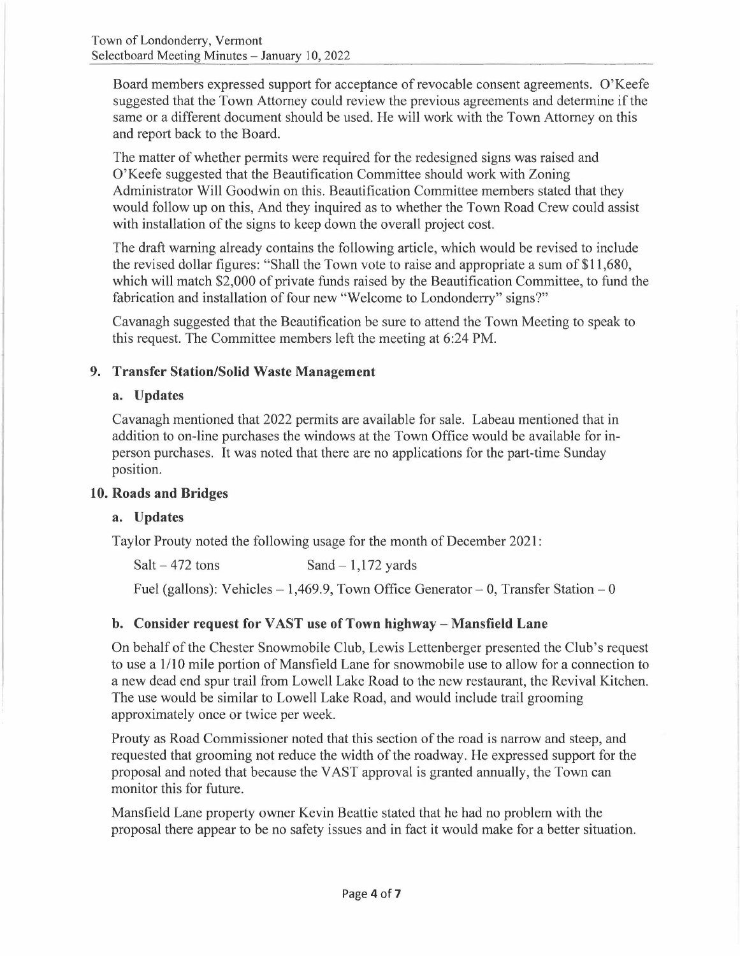Board members expressed support for acceptance of revocable consent agreements. O'Keefe suggested that the Town Attorney could review the previous agreements and determine if the same or a different document should be used. He will work with the Town Attorney on this and report back to the Board.

The matter of whether permits were required for the redesigned signs was raised and O'Keefe suggested that the Beautification Committee should work with Zoning Administrator Will Goodwin on this. Beautification Committee members stated that they would follow up on this, And they inquired as to whether the Town Road Crew could assist with installation of the signs to keep down the overall project cost.

The draft warning already contains the following article, which would be revised to include the revised dollar figures: "Shall the Town vote to raise and appropriate a sum of \$11,680, which will match \$2,000 of private funds raised by the Beautification Committee, to fund the fabrication and installation of four new "Welcome to Londonderry" signs?"

Cavanagh suggested that the Beautification be sure to attend the Town Meeting to speak to this request. The Committee members left the meeting at 6:24 PM.

# **9. Transfer Station/Solid Waste Management**

### **a. Updates**

Cavanagh mentioned that 2022 permits are available for sale. Labeau mentioned that in addition to on-line purchases the windows at the Town Office would be available for inperson purchases. It was noted that there are no applications for the part-time Sunday position.

### **10. Roads and Bridges**

# **a. Updates**

Taylor Prouty noted the following usage for the month of December 2021:

| $Salt - 472$ tons | Sand $-1,172$ yards |
|-------------------|---------------------|
|                   |                     |

Fuel (gallons): Vehicles  $-1,469.9$ , Town Office Generator  $- 0$ , Transfer Station  $- 0$ 

# **b. Consider request for VAST use of Town highway- Mansfield Lane**

On behalf of the Chester Snowmobile Club, Lewis Lettenberger presented the Club's request to use a 1/10 mile portion of Mansfield Lane for snowmobile use to allow for a connection to a new dead end spur trail from Lowell Lake Road to the new restaurant, the Revival Kitchen. The use would be similar to Lowell Lake Road, and would include trail grooming approximately once or twice per week.

Prouty as Road Commissioner noted that this section of the road is narrow and steep, and requested that grooming not reduce the width of the roadway. He expressed support for the proposal and noted that because the VAST approval is granted annually, the Town can monitor this for future.

Mansfield Lane property owner Kevin Beattie stated that he had no problem with the proposal there appear to be no safety issues and in fact it would make for a better situation.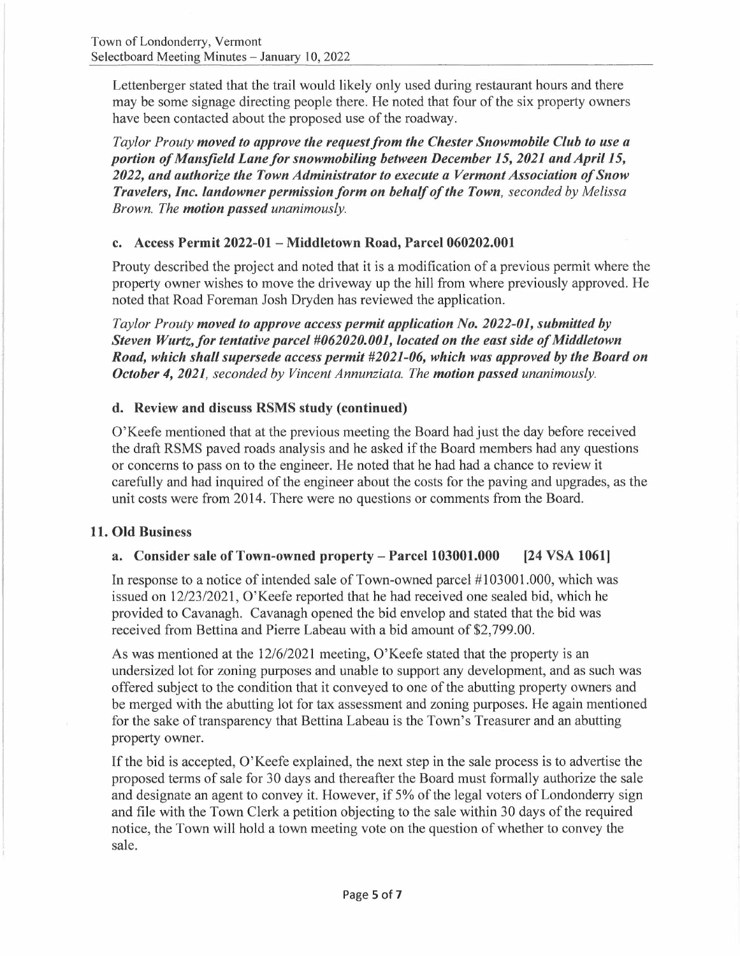Lettenberger stated that the trail would likely only used during restaurant hours and there may be some signage directing people there. He noted that four of the six property owners have been contacted about the proposed use of the roadway.

*Taylor Prouty moved to approve the request from the Chester Snowmobile Club to use a portion of Mansfield Lane for snowmobiling between December 15, 2021 and April 15, 2022, and authorize the Town Administrator to execute a Vermont Association of Snow Travelers, Inc. landowner permission form on behalf of the Town, seconded by Melissa Brown. The motion passed unanimously.* 

### **c. Access Permit 2022-01 - Middletown Road, Parcel 060202.001**

Prouty described the project and noted that it is a modification of a previous permit where the property owner wishes to move the driveway up the hill from where previously approved. He noted that Road Foreman Josh Dryden has reviewed the application.

*Taylor Prouty moved to approve access permit application No. 2022-01, submitted by Steven Wurtz.for tentative parcel #062020.001, located on the east side of Middletown Road, which shall supersede access permit #2021-06, which was approved by the Board on October 4, 2021, seconded by Vincent Annunziata. The motion passed unanimously.* 

# **d. Review and discuss RSMS study (continued)**

O'Keefe mentioned that at the previous meeting the Board had just the day before received the draft RSMS paved roads analysis and he asked if the Board members had any questions or concerns to pass on to the engineer. He noted that he had had a chance to review it carefully and had inquired of the engineer about the costs for the paving and upgrades, as the unit costs were from 2014. There were no questions or comments from the Board.

### **11. Old Business**

# **a. Consider sale of Town-owned property- Parcel 103001.000 (24 VSA 1061]**

In response to a notice of intended sale of Town-owned parcel #103001.000, which was issued on 12/23/2021, O'Keefe reported that he had received one sealed bid, which he provided to Cavanagh. Cavanagh opened the bid envelop and stated that the bid was received from Bettina and Pierre Labeau with a bid amount of \$2,799.00.

As was mentioned at the 12/6/2021 meeting, O'Keefe stated that the property is an undersized lot for zoning purposes and unable to support any development, and as such was offered subject to the condition that it conveyed to one of the abutting property owners and be merged with the abutting lot for tax assessment and zoning purposes. He again mentioned for the sake of transparency that Bettina Labeau is the Town's Treasurer and an abutting property owner.

If the bid is accepted, 0' Keefe explained, the next step in the sale process is to advertise the proposed terms of sale for 30 days and thereafter the Board must formally authorize the sale and designate an agent to convey it. However, if 5% of the legal voters of Londonderry sign and file with the Town Clerk a petition objecting to the sale within 30 days of the required notice, the Town will hold a town meeting vote on the question of whether to convey the sale.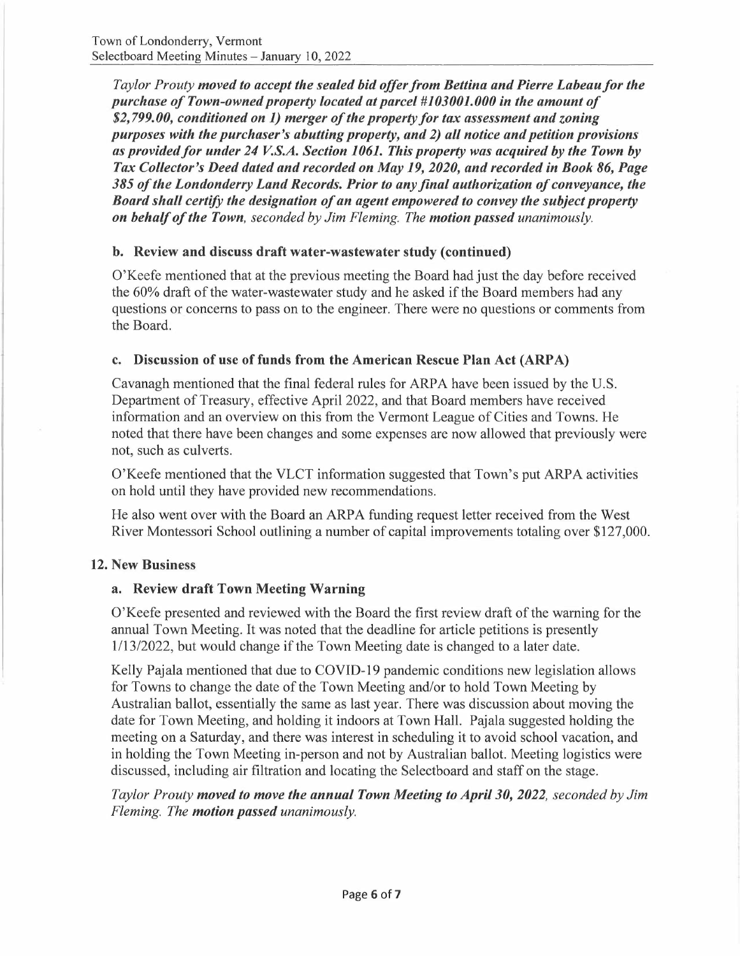*Taylor Prouty moved to accept the sealed bid offer from Bettina and Pierre Labeau for the purchase of Town-owned property located at parcel #103001.000 in the amount of \$2,799.00, conditioned on 1) merger of the property for tax assessment and zoning purposes with the purchaser's abutting property, and 2) all notice and petition provisions*  as provided for under 24 V.S.A. Section 1061. This property was acquired by the Town by *Tax Collector's Deed dated and recorded on May 19, 2020, and recorded in Book 86, Page 385 of the Londonderry Land Records. Prior to any final authorization of conveyance, the Board shall certify the designation of an agent empowered to convey the subject property on behalf of the Town, seconded by Jim Fleming. The motion passed unanimously.* 

### **b. Review and discuss draft water-wastewater study ( continued)**

O'Keefe mentioned that at the previous meeting the Board had just the day before received the 60% draft of the water-wastewater study and he asked if the Board members had any questions or concerns to pass on to the engineer. There were no questions or comments from the Board.

### **c. Discussion of use of funds from the American Rescue Plan Act (ARP A)**

Cavanagh mentioned that the final federal rules for ARPA have been issued by the U.S. Department of Treasury, effective April 2022, and that Board members have received information and an overview on this from the Vermont League of Cities and Towns. He noted that there have been changes and some expenses are now allowed that previously were not, such as culverts.

O'Keefe mentioned that the VLCT information suggested that Town's put ARPA activities on hold until they have provided new recommendations.

He also went over with the Board an ARPA funding request letter received from the West River Montessori School outlining a number of capital improvements totaling over \$127,000.

### **12. New Business**

### **a. Review draft Town Meeting Warning**

O'Keefe presented and reviewed with the Board the first review draft of the warning for the annual Town Meeting. It was noted that the deadline for article petitions is presently 1/13/2022, but would change if the Town Meeting date is changed to a later date.

Kelly Pajala mentioned that due to COVID-19 pandemic conditions new legislation allows for Towns to change the date of the Town Meeting and/or to hold Town Meeting by Australian ballot, essentially the same as last year. There was discussion about moving the date for Town Meeting, and holding it indoors at Town Hall. Pajala suggested holding the meeting on a Saturday, and there was interest in scheduling it to avoid school vacation, and in holding the Town Meeting in-person and not by Australian ballot. Meeting logistics were discussed, including air filtration and locating the Selectboard and staff on the stage.

*Taylor Prouty moved to move the annual Town Meeting to April 30, 2022, seconded by Jim Fleming. The motion passed unanimously.*